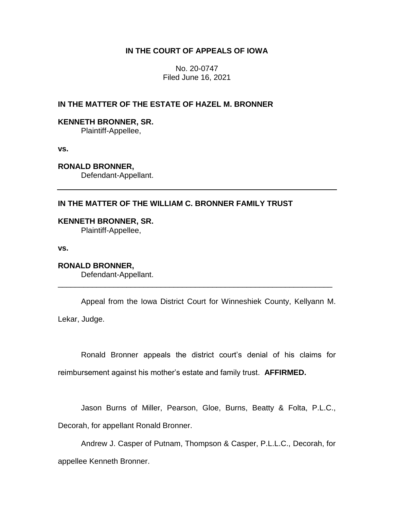# **IN THE COURT OF APPEALS OF IOWA**

No. 20-0747 Filed June 16, 2021

# **IN THE MATTER OF THE ESTATE OF HAZEL M. BRONNER**

## **KENNETH BRONNER, SR.**

Plaintiff-Appellee,

**vs.**

**RONALD BRONNER,**

Defendant-Appellant.

## **IN THE MATTER OF THE WILLIAM C. BRONNER FAMILY TRUST**

**KENNETH BRONNER, SR.** Plaintiff-Appellee,

**vs.**

**RONALD BRONNER,** Defendant-Appellant.

Appeal from the Iowa District Court for Winneshiek County, Kellyann M. Lekar, Judge.

\_\_\_\_\_\_\_\_\_\_\_\_\_\_\_\_\_\_\_\_\_\_\_\_\_\_\_\_\_\_\_\_\_\_\_\_\_\_\_\_\_\_\_\_\_\_\_\_\_\_\_\_\_\_\_\_\_\_\_\_\_\_\_\_

Ronald Bronner appeals the district court's denial of his claims for reimbursement against his mother's estate and family trust. **AFFIRMED.** 

Jason Burns of Miller, Pearson, Gloe, Burns, Beatty & Folta, P.L.C.,

Decorah, for appellant Ronald Bronner.

Andrew J. Casper of Putnam, Thompson & Casper, P.L.L.C., Decorah, for appellee Kenneth Bronner.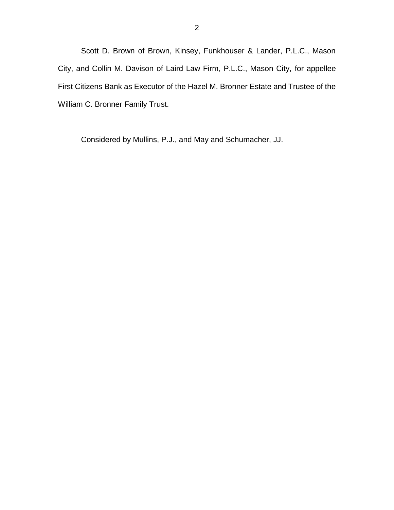Scott D. Brown of Brown, Kinsey, Funkhouser & Lander, P.L.C., Mason City, and Collin M. Davison of Laird Law Firm, P.L.C., Mason City, for appellee First Citizens Bank as Executor of the Hazel M. Bronner Estate and Trustee of the William C. Bronner Family Trust.

Considered by Mullins, P.J., and May and Schumacher, JJ.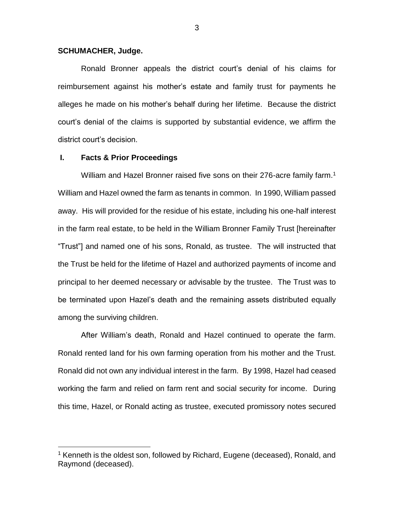### **SCHUMACHER, Judge.**

Ronald Bronner appeals the district court's denial of his claims for reimbursement against his mother's estate and family trust for payments he alleges he made on his mother's behalf during her lifetime. Because the district court's denial of the claims is supported by substantial evidence, we affirm the district court's decision.

### **I. Facts & Prior Proceedings**

 $\overline{a}$ 

William and Hazel Bronner raised five sons on their 276-acre family farm.<sup>1</sup> William and Hazel owned the farm as tenants in common. In 1990, William passed away. His will provided for the residue of his estate, including his one-half interest in the farm real estate, to be held in the William Bronner Family Trust [hereinafter "Trust"] and named one of his sons, Ronald, as trustee. The will instructed that the Trust be held for the lifetime of Hazel and authorized payments of income and principal to her deemed necessary or advisable by the trustee. The Trust was to be terminated upon Hazel's death and the remaining assets distributed equally among the surviving children.

After William's death, Ronald and Hazel continued to operate the farm. Ronald rented land for his own farming operation from his mother and the Trust. Ronald did not own any individual interest in the farm. By 1998, Hazel had ceased working the farm and relied on farm rent and social security for income. During this time, Hazel, or Ronald acting as trustee, executed promissory notes secured

<sup>&</sup>lt;sup>1</sup> Kenneth is the oldest son, followed by Richard, Eugene (deceased), Ronald, and Raymond (deceased).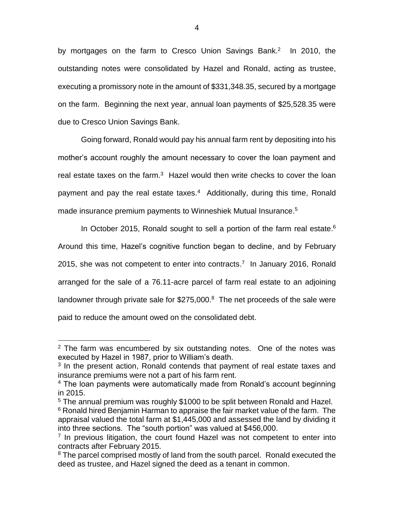by mortgages on the farm to Cresco Union Savings Bank.<sup>2</sup> In 2010, the outstanding notes were consolidated by Hazel and Ronald, acting as trustee, executing a promissory note in the amount of \$331,348.35, secured by a mortgage on the farm. Beginning the next year, annual loan payments of \$25,528.35 were due to Cresco Union Savings Bank.

Going forward, Ronald would pay his annual farm rent by depositing into his mother's account roughly the amount necessary to cover the loan payment and real estate taxes on the farm.<sup>3</sup> Hazel would then write checks to cover the loan payment and pay the real estate taxes.<sup>4</sup> Additionally, during this time, Ronald made insurance premium payments to Winneshiek Mutual Insurance. 5

In October 2015, Ronald sought to sell a portion of the farm real estate. $6$ Around this time, Hazel's cognitive function began to decline, and by February 2015, she was not competent to enter into contracts.<sup>7</sup> In January 2016, Ronald arranged for the sale of a 76.11-acre parcel of farm real estate to an adjoining landowner through private sale for \$275,000.<sup>8</sup> The net proceeds of the sale were paid to reduce the amount owed on the consolidated debt.

 $2$  The farm was encumbered by six outstanding notes. One of the notes was executed by Hazel in 1987, prior to William's death.

<sup>&</sup>lt;sup>3</sup> In the present action, Ronald contends that payment of real estate taxes and insurance premiums were not a part of his farm rent.

<sup>&</sup>lt;sup>4</sup> The loan payments were automatically made from Ronald's account beginning in 2015.

<sup>5</sup> The annual premium was roughly \$1000 to be split between Ronald and Hazel.

<sup>&</sup>lt;sup>6</sup> Ronald hired Benjamin Harman to appraise the fair market value of the farm. The appraisal valued the total farm at \$1,445,000 and assessed the land by dividing it into three sections. The "south portion" was valued at \$456,000.

<sup>&</sup>lt;sup>7</sup> In previous litigation, the court found Hazel was not competent to enter into contracts after February 2015.

<sup>&</sup>lt;sup>8</sup> The parcel comprised mostly of land from the south parcel. Ronald executed the deed as trustee, and Hazel signed the deed as a tenant in common.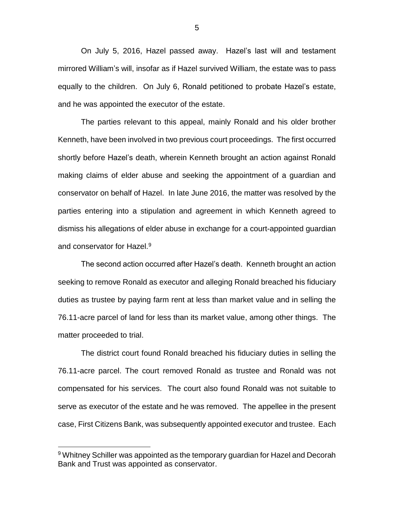On July 5, 2016, Hazel passed away. Hazel's last will and testament mirrored William's will, insofar as if Hazel survived William, the estate was to pass equally to the children. On July 6, Ronald petitioned to probate Hazel's estate, and he was appointed the executor of the estate.

The parties relevant to this appeal, mainly Ronald and his older brother Kenneth, have been involved in two previous court proceedings. The first occurred shortly before Hazel's death, wherein Kenneth brought an action against Ronald making claims of elder abuse and seeking the appointment of a guardian and conservator on behalf of Hazel. In late June 2016, the matter was resolved by the parties entering into a stipulation and agreement in which Kenneth agreed to dismiss his allegations of elder abuse in exchange for a court-appointed guardian and conservator for Hazel.<sup>9</sup>

The second action occurred after Hazel's death. Kenneth brought an action seeking to remove Ronald as executor and alleging Ronald breached his fiduciary duties as trustee by paying farm rent at less than market value and in selling the 76.11-acre parcel of land for less than its market value, among other things. The matter proceeded to trial.

The district court found Ronald breached his fiduciary duties in selling the 76.11-acre parcel. The court removed Ronald as trustee and Ronald was not compensated for his services. The court also found Ronald was not suitable to serve as executor of the estate and he was removed. The appellee in the present case, First Citizens Bank, was subsequently appointed executor and trustee. Each

 $\overline{a}$ 

5

<sup>&</sup>lt;sup>9</sup> Whitney Schiller was appointed as the temporary guardian for Hazel and Decorah Bank and Trust was appointed as conservator.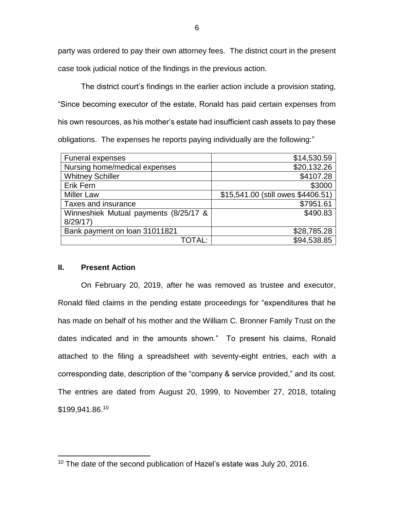party was ordered to pay their own attorney fees. The district court in the present case took judicial notice of the findings in the previous action.

The district court's findings in the earlier action include a provision stating, "Since becoming executor of the estate, Ronald has paid certain expenses from his own resources, as his mother's estate had insufficient cash assets to pay these obligations. The expenses he reports paying individually are the following:"

| <b>Funeral expenses</b>               | \$14,530.59                        |
|---------------------------------------|------------------------------------|
| Nursing home/medical expenses         | \$20,132.26                        |
| <b>Whitney Schiller</b>               | \$4107.28                          |
| <b>Erik Fern</b>                      | \$3000                             |
| <b>Miller Law</b>                     | \$15,541.00 (still owes \$4406.51) |
| Taxes and insurance                   | \$7951.61                          |
| Winneshiek Mutual payments (8/25/17 & | \$490.83                           |
| 8/29/17                               |                                    |
| Bank payment on loan 31011821         | \$28,785.28                        |
| TOTAL:                                | \$94,538.85                        |

## **II. Present Action**

 $\overline{a}$ 

On February 20, 2019, after he was removed as trustee and executor, Ronald filed claims in the pending estate proceedings for "expenditures that he has made on behalf of his mother and the William C. Bronner Family Trust on the dates indicated and in the amounts shown." To present his claims, Ronald attached to the filing a spreadsheet with seventy-eight entries, each with a corresponding date, description of the "company & service provided," and its cost. The entries are dated from August 20, 1999, to November 27, 2018, totaling \$199,941.86.<sup>10</sup>

<sup>&</sup>lt;sup>10</sup> The date of the second publication of Hazel's estate was July 20, 2016.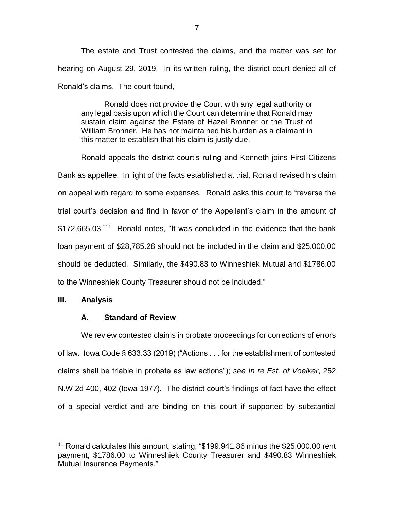The estate and Trust contested the claims, and the matter was set for hearing on August 29, 2019. In its written ruling, the district court denied all of Ronald's claims. The court found,

Ronald does not provide the Court with any legal authority or any legal basis upon which the Court can determine that Ronald may sustain claim against the Estate of Hazel Bronner or the Trust of William Bronner. He has not maintained his burden as a claimant in this matter to establish that his claim is justly due.

Ronald appeals the district court's ruling and Kenneth joins First Citizens Bank as appellee. In light of the facts established at trial, Ronald revised his claim on appeal with regard to some expenses. Ronald asks this court to "reverse the trial court's decision and find in favor of the Appellant's claim in the amount of \$172,665.03."<sup>11</sup> Ronald notes, "It was concluded in the evidence that the bank loan payment of \$28,785.28 should not be included in the claim and \$25,000.00 should be deducted. Similarly, the \$490.83 to Winneshiek Mutual and \$1786.00 to the Winneshiek County Treasurer should not be included."

# **III. Analysis**

 $\overline{a}$ 

# **A. Standard of Review**

We review contested claims in probate proceedings for corrections of errors of law. Iowa Code § 633.33 (2019) ("Actions . . . for the establishment of contested claims shall be triable in probate as law actions"); *see In re Est. of Voelker*, 252 N.W.2d 400, 402 (Iowa 1977). The district court's findings of fact have the effect of a special verdict and are binding on this court if supported by substantial

<sup>&</sup>lt;sup>11</sup> Ronald calculates this amount, stating, "\$199.941.86 minus the \$25,000.00 rent payment, \$1786.00 to Winneshiek County Treasurer and \$490.83 Winneshiek Mutual Insurance Payments."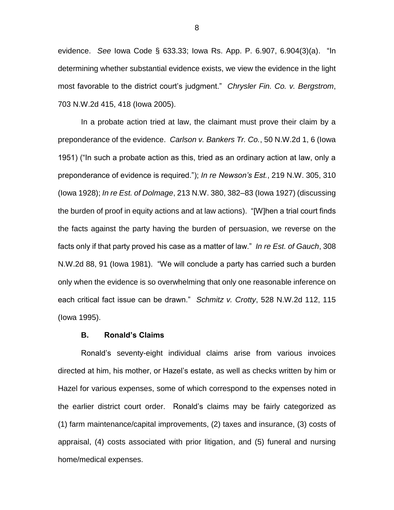evidence. *See* Iowa Code § 633.33; Iowa Rs. App. P. 6.907, 6.904(3)(a). "In determining whether substantial evidence exists, we view the evidence in the light most favorable to the district court's judgment." *Chrysler Fin. Co. v. Bergstrom*, 703 N.W.2d 415, 418 (Iowa 2005).

In a probate action tried at law, the claimant must prove their claim by a preponderance of the evidence. *Carlson v. Bankers Tr. Co.*, 50 N.W.2d 1, 6 (Iowa 1951) ("In such a probate action as this, tried as an ordinary action at law, only a preponderance of evidence is required."); *In re Newson's Est.*, 219 N.W. 305, 310 (Iowa 1928); *In re Est. of Dolmage*, 213 N.W. 380, 382–83 (Iowa 1927) (discussing the burden of proof in equity actions and at law actions). "[W]hen a trial court finds the facts against the party having the burden of persuasion, we reverse on the facts only if that party proved his case as a matter of law." *In re Est. of Gauch*, 308 N.W.2d 88, 91 (Iowa 1981). "We will conclude a party has carried such a burden only when the evidence is so overwhelming that only one reasonable inference on each critical fact issue can be drawn." *Schmitz v. Crotty*, 528 N.W.2d 112, 115 (Iowa 1995).

#### **B. Ronald's Claims**

Ronald's seventy-eight individual claims arise from various invoices directed at him, his mother, or Hazel's estate, as well as checks written by him or Hazel for various expenses, some of which correspond to the expenses noted in the earlier district court order. Ronald's claims may be fairly categorized as (1) farm maintenance/capital improvements, (2) taxes and insurance, (3) costs of appraisal, (4) costs associated with prior litigation, and (5) funeral and nursing home/medical expenses.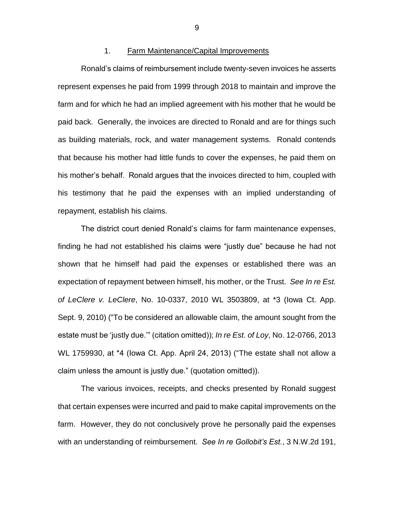## 1. Farm Maintenance/Capital Improvements

Ronald's claims of reimbursement include twenty-seven invoices he asserts represent expenses he paid from 1999 through 2018 to maintain and improve the farm and for which he had an implied agreement with his mother that he would be paid back. Generally, the invoices are directed to Ronald and are for things such as building materials, rock, and water management systems. Ronald contends that because his mother had little funds to cover the expenses, he paid them on his mother's behalf. Ronald argues that the invoices directed to him, coupled with his testimony that he paid the expenses with an implied understanding of repayment, establish his claims.

The district court denied Ronald's claims for farm maintenance expenses, finding he had not established his claims were "justly due" because he had not shown that he himself had paid the expenses or established there was an expectation of repayment between himself, his mother, or the Trust. *See In re Est. of LeClere v. LeClere*, No. 10-0337, 2010 WL 3503809, at \*3 (Iowa Ct. App. Sept. 9, 2010) ("To be considered an allowable claim, the amount sought from the estate must be 'justly due.'" (citation omitted)); *In re Est. of Loy*, No. 12-0766, 2013 WL 1759930, at \*4 (Iowa Ct. App. April 24, 2013) ("The estate shall not allow a claim unless the amount is justly due." (quotation omitted)).

The various invoices, receipts, and checks presented by Ronald suggest that certain expenses were incurred and paid to make capital improvements on the farm. However, they do not conclusively prove he personally paid the expenses with an understanding of reimbursement. *See In re Gollobit's Est.*, 3 N.W.2d 191,

9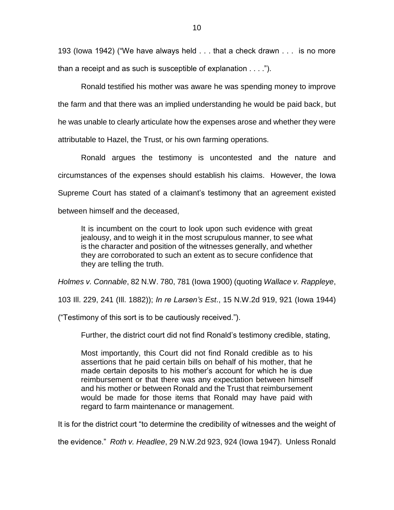193 (Iowa 1942) ("We have always held . . . that a check drawn . . . is no more than a receipt and as such is susceptible of explanation . . . .").

Ronald testified his mother was aware he was spending money to improve the farm and that there was an implied understanding he would be paid back, but he was unable to clearly articulate how the expenses arose and whether they were attributable to Hazel, the Trust, or his own farming operations.

Ronald argues the testimony is uncontested and the nature and circumstances of the expenses should establish his claims. However, the Iowa Supreme Court has stated of a claimant's testimony that an agreement existed between himself and the deceased,

It is incumbent on the court to look upon such evidence with great jealousy, and to weigh it in the most scrupulous manner, to see what is the character and position of the witnesses generally, and whether they are corroborated to such an extent as to secure confidence that they are telling the truth.

*Holmes v. Connable*, 82 N.W. 780, 781 (Iowa 1900) (quoting *Wallace v. Rappleye*,

103 Ill. 229, 241 (Ill. 1882)); *In re Larsen's Est*., 15 N.W.2d 919, 921 (Iowa 1944)

("Testimony of this sort is to be cautiously received.").

Further, the district court did not find Ronald's testimony credible, stating,

Most importantly, this Court did not find Ronald credible as to his assertions that he paid certain bills on behalf of his mother, that he made certain deposits to his mother's account for which he is due reimbursement or that there was any expectation between himself and his mother or between Ronald and the Trust that reimbursement would be made for those items that Ronald may have paid with regard to farm maintenance or management.

It is for the district court "to determine the credibility of witnesses and the weight of

the evidence." *Roth v. Headlee*, 29 N.W.2d 923, 924 (Iowa 1947). Unless Ronald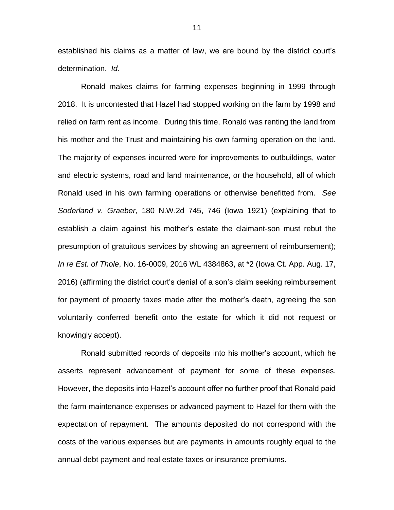established his claims as a matter of law, we are bound by the district court's determination. *Id.* 

Ronald makes claims for farming expenses beginning in 1999 through 2018. It is uncontested that Hazel had stopped working on the farm by 1998 and relied on farm rent as income. During this time, Ronald was renting the land from his mother and the Trust and maintaining his own farming operation on the land. The majority of expenses incurred were for improvements to outbuildings, water and electric systems, road and land maintenance, or the household, all of which Ronald used in his own farming operations or otherwise benefitted from. *See Soderland v. Graeber*, 180 N.W.2d 745, 746 (Iowa 1921) (explaining that to establish a claim against his mother's estate the claimant-son must rebut the presumption of gratuitous services by showing an agreement of reimbursement); *In re Est. of Thole*, No. 16-0009, 2016 WL 4384863, at \*2 (Iowa Ct. App. Aug. 17, 2016) (affirming the district court's denial of a son's claim seeking reimbursement for payment of property taxes made after the mother's death, agreeing the son voluntarily conferred benefit onto the estate for which it did not request or knowingly accept).

Ronald submitted records of deposits into his mother's account, which he asserts represent advancement of payment for some of these expenses. However, the deposits into Hazel's account offer no further proof that Ronald paid the farm maintenance expenses or advanced payment to Hazel for them with the expectation of repayment. The amounts deposited do not correspond with the costs of the various expenses but are payments in amounts roughly equal to the annual debt payment and real estate taxes or insurance premiums.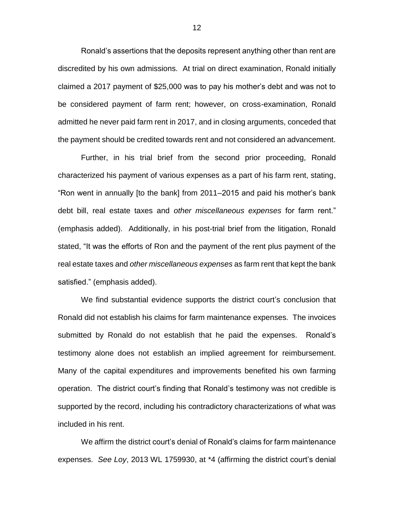Ronald's assertions that the deposits represent anything other than rent are discredited by his own admissions. At trial on direct examination, Ronald initially claimed a 2017 payment of \$25,000 was to pay his mother's debt and was not to be considered payment of farm rent; however, on cross-examination, Ronald admitted he never paid farm rent in 2017, and in closing arguments, conceded that the payment should be credited towards rent and not considered an advancement.

Further, in his trial brief from the second prior proceeding, Ronald characterized his payment of various expenses as a part of his farm rent, stating, "Ron went in annually [to the bank] from 2011–2015 and paid his mother's bank debt bill, real estate taxes and *other miscellaneous expenses* for farm rent." (emphasis added). Additionally, in his post-trial brief from the litigation, Ronald stated, "It was the efforts of Ron and the payment of the rent plus payment of the real estate taxes and *other miscellaneous expenses* as farm rent that kept the bank satisfied." (emphasis added).

We find substantial evidence supports the district court's conclusion that Ronald did not establish his claims for farm maintenance expenses. The invoices submitted by Ronald do not establish that he paid the expenses. Ronald's testimony alone does not establish an implied agreement for reimbursement. Many of the capital expenditures and improvements benefited his own farming operation. The district court's finding that Ronald's testimony was not credible is supported by the record, including his contradictory characterizations of what was included in his rent.

We affirm the district court's denial of Ronald's claims for farm maintenance expenses. *See Loy*, 2013 WL 1759930, at \*4 (affirming the district court's denial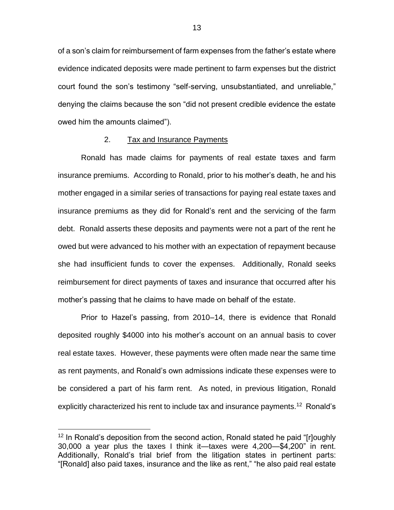of a son's claim for reimbursement of farm expenses from the father's estate where evidence indicated deposits were made pertinent to farm expenses but the district court found the son's testimony "self-serving, unsubstantiated, and unreliable," denying the claims because the son "did not present credible evidence the estate owed him the amounts claimed").

### 2. Tax and Insurance Payments

Ronald has made claims for payments of real estate taxes and farm insurance premiums. According to Ronald, prior to his mother's death, he and his mother engaged in a similar series of transactions for paying real estate taxes and insurance premiums as they did for Ronald's rent and the servicing of the farm debt. Ronald asserts these deposits and payments were not a part of the rent he owed but were advanced to his mother with an expectation of repayment because she had insufficient funds to cover the expenses. Additionally, Ronald seeks reimbursement for direct payments of taxes and insurance that occurred after his mother's passing that he claims to have made on behalf of the estate.

Prior to Hazel's passing, from 2010–14, there is evidence that Ronald deposited roughly \$4000 into his mother's account on an annual basis to cover real estate taxes. However, these payments were often made near the same time as rent payments, and Ronald's own admissions indicate these expenses were to be considered a part of his farm rent. As noted, in previous litigation, Ronald explicitly characterized his rent to include tax and insurance payments.<sup>12</sup> Ronald's

 $12$  In Ronald's deposition from the second action, Ronald stated he paid "[r]oughly 30,000 a year plus the taxes I think it—taxes were 4,200—\$4,200" in rent. Additionally, Ronald's trial brief from the litigation states in pertinent parts: "[Ronald] also paid taxes, insurance and the like as rent," "he also paid real estate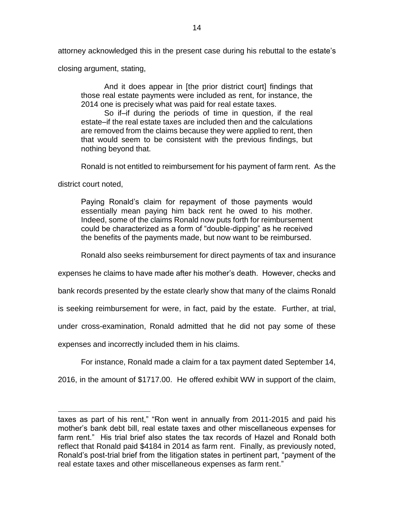attorney acknowledged this in the present case during his rebuttal to the estate's

closing argument, stating,

And it does appear in [the prior district court] findings that those real estate payments were included as rent, for instance, the 2014 one is precisely what was paid for real estate taxes.

So if–if during the periods of time in question, if the real estate–if the real estate taxes are included then and the calculations are removed from the claims because they were applied to rent, then that would seem to be consistent with the previous findings, but nothing beyond that.

Ronald is not entitled to reimbursement for his payment of farm rent. As the

district court noted,

 $\overline{a}$ 

Paying Ronald's claim for repayment of those payments would essentially mean paying him back rent he owed to his mother. Indeed, some of the claims Ronald now puts forth for reimbursement could be characterized as a form of "double-dipping" as he received the benefits of the payments made, but now want to be reimbursed.

Ronald also seeks reimbursement for direct payments of tax and insurance

expenses he claims to have made after his mother's death. However, checks and

bank records presented by the estate clearly show that many of the claims Ronald

is seeking reimbursement for were, in fact, paid by the estate. Further, at trial,

under cross-examination, Ronald admitted that he did not pay some of these

expenses and incorrectly included them in his claims.

For instance, Ronald made a claim for a tax payment dated September 14,

2016, in the amount of \$1717.00. He offered exhibit WW in support of the claim,

taxes as part of his rent," "Ron went in annually from 2011-2015 and paid his mother's bank debt bill, real estate taxes and other miscellaneous expenses for farm rent." His trial brief also states the tax records of Hazel and Ronald both reflect that Ronald paid \$4184 in 2014 as farm rent. Finally, as previously noted, Ronald's post-trial brief from the litigation states in pertinent part, "payment of the real estate taxes and other miscellaneous expenses as farm rent."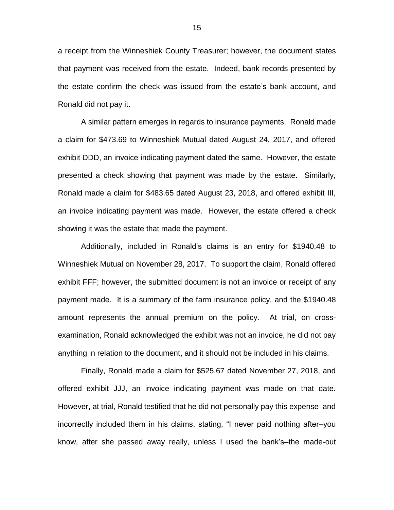a receipt from the Winneshiek County Treasurer; however, the document states that payment was received from the estate. Indeed, bank records presented by the estate confirm the check was issued from the estate's bank account, and Ronald did not pay it.

A similar pattern emerges in regards to insurance payments. Ronald made a claim for \$473.69 to Winneshiek Mutual dated August 24, 2017, and offered exhibit DDD, an invoice indicating payment dated the same. However, the estate presented a check showing that payment was made by the estate. Similarly, Ronald made a claim for \$483.65 dated August 23, 2018, and offered exhibit III, an invoice indicating payment was made. However, the estate offered a check showing it was the estate that made the payment.

Additionally, included in Ronald's claims is an entry for \$1940.48 to Winneshiek Mutual on November 28, 2017. To support the claim, Ronald offered exhibit FFF; however, the submitted document is not an invoice or receipt of any payment made. It is a summary of the farm insurance policy, and the \$1940.48 amount represents the annual premium on the policy. At trial, on crossexamination, Ronald acknowledged the exhibit was not an invoice, he did not pay anything in relation to the document, and it should not be included in his claims.

Finally, Ronald made a claim for \$525.67 dated November 27, 2018, and offered exhibit JJJ, an invoice indicating payment was made on that date. However, at trial, Ronald testified that he did not personally pay this expense and incorrectly included them in his claims, stating, "I never paid nothing after–you know, after she passed away really, unless I used the bank's–the made-out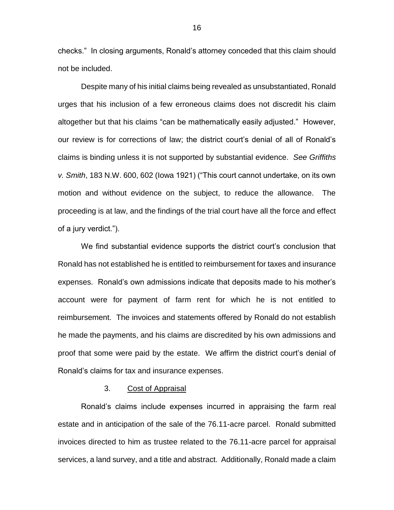checks." In closing arguments, Ronald's attorney conceded that this claim should not be included.

Despite many of his initial claims being revealed as unsubstantiated, Ronald urges that his inclusion of a few erroneous claims does not discredit his claim altogether but that his claims "can be mathematically easily adjusted." However, our review is for corrections of law; the district court's denial of all of Ronald's claims is binding unless it is not supported by substantial evidence. *See Griffiths v. Smith*, 183 N.W. 600, 602 (Iowa 1921) ("This court cannot undertake, on its own motion and without evidence on the subject, to reduce the allowance. The proceeding is at law, and the findings of the trial court have all the force and effect of a jury verdict.").

We find substantial evidence supports the district court's conclusion that Ronald has not established he is entitled to reimbursement for taxes and insurance expenses. Ronald's own admissions indicate that deposits made to his mother's account were for payment of farm rent for which he is not entitled to reimbursement. The invoices and statements offered by Ronald do not establish he made the payments, and his claims are discredited by his own admissions and proof that some were paid by the estate. We affirm the district court's denial of Ronald's claims for tax and insurance expenses.

### 3. Cost of Appraisal

Ronald's claims include expenses incurred in appraising the farm real estate and in anticipation of the sale of the 76.11-acre parcel. Ronald submitted invoices directed to him as trustee related to the 76.11-acre parcel for appraisal services, a land survey, and a title and abstract. Additionally, Ronald made a claim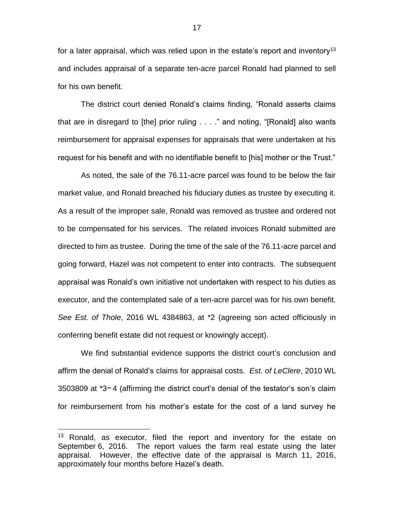for a later appraisal, which was relied upon in the estate's report and inventory<sup>13</sup> and includes appraisal of a separate ten-acre parcel Ronald had planned to sell for his own benefit.

The district court denied Ronald's claims finding, "Ronald asserts claims that are in disregard to [the] prior ruling . . . ." and noting, "[Ronald] also wants reimbursement for appraisal expenses for appraisals that were undertaken at his request for his benefit and with no identifiable benefit to [his] mother or the Trust."

As noted, the sale of the 76.11-acre parcel was found to be below the fair market value, and Ronald breached his fiduciary duties as trustee by executing it. As a result of the improper sale, Ronald was removed as trustee and ordered not to be compensated for his services. The related invoices Ronald submitted are directed to him as trustee. During the time of the sale of the 76.11-acre parcel and going forward, Hazel was not competent to enter into contracts. The subsequent appraisal was Ronald's own initiative not undertaken with respect to his duties as executor, and the contemplated sale of a ten-acre parcel was for his own benefit. *See Est. of Thole*, 2016 WL 4384863, at \*2 (agreeing son acted officiously in conferring benefit estate did not request or knowingly accept).

We find substantial evidence supports the district court's conclusion and affirm the denial of Ronald's claims for appraisal costs. *Est. of LeClere*, 2010 WL  $3503809$  at  $3 - 4$  (affirming the district court's denial of the testator's son's claim for reimbursement from his mother's estate for the cost of a land survey he

<sup>&</sup>lt;sup>13</sup> Ronald, as executor, filed the report and inventory for the estate on September 6, 2016. The report values the farm real estate using the later appraisal. However, the effective date of the appraisal is March 11, 2016, approximately four months before Hazel's death.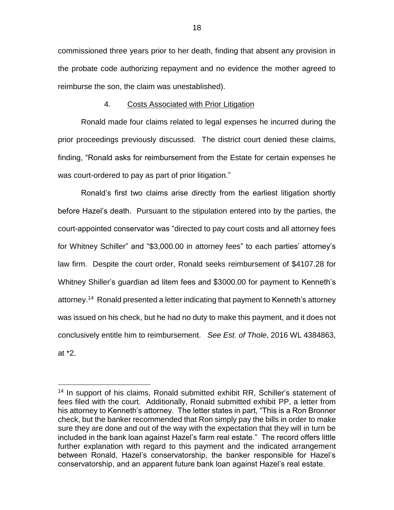commissioned three years prior to her death, finding that absent any provision in the probate code authorizing repayment and no evidence the mother agreed to reimburse the son, the claim was unestablished).

# 4. Costs Associated with Prior Litigation

Ronald made four claims related to legal expenses he incurred during the prior proceedings previously discussed. The district court denied these claims, finding, "Ronald asks for reimbursement from the Estate for certain expenses he was court-ordered to pay as part of prior litigation."

Ronald's first two claims arise directly from the earliest litigation shortly before Hazel's death. Pursuant to the stipulation entered into by the parties, the court-appointed conservator was "directed to pay court costs and all attorney fees for Whitney Schiller" and "\$3,000.00 in attorney fees" to each parties' attorney's law firm. Despite the court order, Ronald seeks reimbursement of \$4107.28 for Whitney Shiller's guardian ad litem fees and \$3000.00 for payment to Kenneth's attorney. 14 Ronald presented a letter indicating that payment to Kenneth's attorney was issued on his check, but he had no duty to make this payment, and it does not conclusively entitle him to reimbursement. *See Est. of Thole*, 2016 WL 4384863, at \*2.

<sup>&</sup>lt;sup>14</sup> In support of his claims, Ronald submitted exhibit RR, Schiller's statement of fees filed with the court. Additionally, Ronald submitted exhibit PP, a letter from his attorney to Kenneth's attorney. The letter states in part, "This is a Ron Bronner check, but the banker recommended that Ron simply pay the bills in order to make sure they are done and out of the way with the expectation that they will in turn be included in the bank loan against Hazel's farm real estate." The record offers little further explanation with regard to this payment and the indicated arrangement between Ronald, Hazel's conservatorship, the banker responsible for Hazel's conservatorship, and an apparent future bank loan against Hazel's real estate.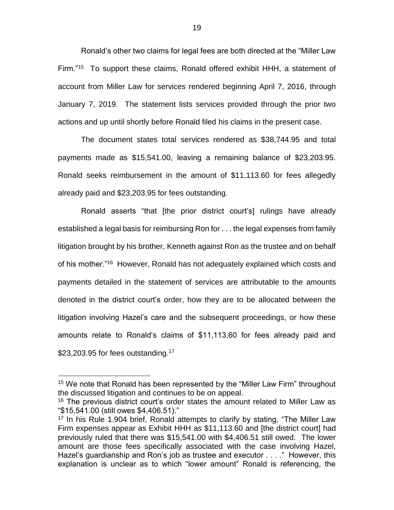Ronald's other two claims for legal fees are both directed at the "Miller Law Firm."<sup>15</sup> To support these claims, Ronald offered exhibit HHH, a statement of account from Miller Law for services rendered beginning April 7, 2016, through January 7, 2019. The statement lists services provided through the prior two actions and up until shortly before Ronald filed his claims in the present case.

The document states total services rendered as \$38,744.95 and total payments made as \$15,541.00, leaving a remaining balance of \$23,203.95. Ronald seeks reimbursement in the amount of \$11,113.60 for fees allegedly already paid and \$23,203.95 for fees outstanding.

Ronald asserts "that [the prior district court's] rulings have already established a legal basis for reimbursing Ron for . . . the legal expenses from family litigation brought by his brother, Kenneth against Ron as the trustee and on behalf of his mother."<sup>16</sup> However, Ronald has not adequately explained which costs and payments detailed in the statement of services are attributable to the amounts denoted in the district court's order, how they are to be allocated between the litigation involving Hazel's care and the subsequent proceedings, or how these amounts relate to Ronald's claims of \$11,113.60 for fees already paid and  $$23,203.95$  for fees outstanding.<sup>17</sup>

<sup>&</sup>lt;sup>15</sup> We note that Ronald has been represented by the "Miller Law Firm" throughout the discussed litigation and continues to be on appeal.

<sup>&</sup>lt;sup>16</sup> The previous district court's order states the amount related to Miller Law as "\$15,541.00 (still owes \$4,406.51)."

<sup>&</sup>lt;sup>17</sup> In his Rule 1.904 brief, Ronald attempts to clarify by stating, "The Miller Law Firm expenses appear as Exhibit HHH as \$11,113.60 and [the district court] had previously ruled that there was \$15,541.00 with \$4,406.51 still owed. The lower amount are those fees specifically associated with the case involving Hazel, Hazel's guardianship and Ron's job as trustee and executor . . . ." However, this explanation is unclear as to which "lower amount" Ronald is referencing, the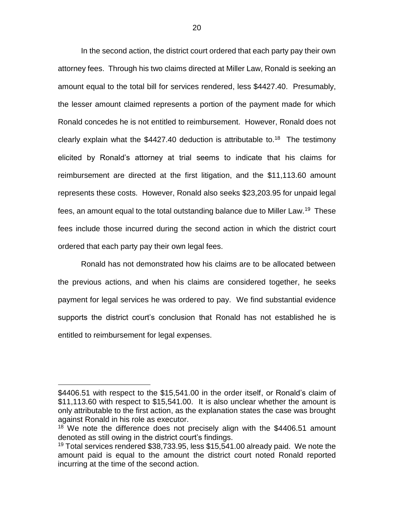In the second action, the district court ordered that each party pay their own attorney fees. Through his two claims directed at Miller Law, Ronald is seeking an amount equal to the total bill for services rendered, less \$4427.40. Presumably, the lesser amount claimed represents a portion of the payment made for which Ronald concedes he is not entitled to reimbursement. However, Ronald does not clearly explain what the  $$4427.40$  deduction is attributable to.<sup>18</sup> The testimony elicited by Ronald's attorney at trial seems to indicate that his claims for reimbursement are directed at the first litigation, and the \$11,113.60 amount represents these costs. However, Ronald also seeks \$23,203.95 for unpaid legal fees, an amount equal to the total outstanding balance due to Miller Law.<sup>19</sup> These fees include those incurred during the second action in which the district court ordered that each party pay their own legal fees.

Ronald has not demonstrated how his claims are to be allocated between the previous actions, and when his claims are considered together, he seeks payment for legal services he was ordered to pay. We find substantial evidence supports the district court's conclusion that Ronald has not established he is entitled to reimbursement for legal expenses.

<sup>\$4406.51</sup> with respect to the \$15,541.00 in the order itself, or Ronald's claim of \$11,113.60 with respect to \$15,541.00. It is also unclear whether the amount is only attributable to the first action, as the explanation states the case was brought against Ronald in his role as executor.

 $18$  We note the difference does not precisely align with the \$4406.51 amount denoted as still owing in the district court's findings.

<sup>&</sup>lt;sup>19</sup> Total services rendered \$38,733.95, less \$15,541.00 already paid. We note the amount paid is equal to the amount the district court noted Ronald reported incurring at the time of the second action.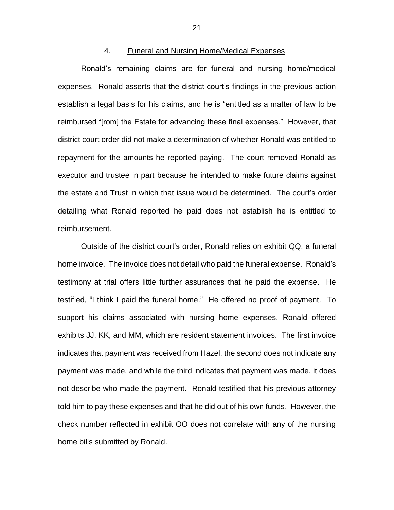### 4. Funeral and Nursing Home/Medical Expenses

Ronald's remaining claims are for funeral and nursing home/medical expenses. Ronald asserts that the district court's findings in the previous action establish a legal basis for his claims, and he is "entitled as a matter of law to be reimbursed f[rom] the Estate for advancing these final expenses." However, that district court order did not make a determination of whether Ronald was entitled to repayment for the amounts he reported paying. The court removed Ronald as executor and trustee in part because he intended to make future claims against the estate and Trust in which that issue would be determined. The court's order detailing what Ronald reported he paid does not establish he is entitled to reimbursement.

Outside of the district court's order, Ronald relies on exhibit QQ, a funeral home invoice. The invoice does not detail who paid the funeral expense. Ronald's testimony at trial offers little further assurances that he paid the expense. He testified, "I think I paid the funeral home." He offered no proof of payment. To support his claims associated with nursing home expenses, Ronald offered exhibits JJ, KK, and MM, which are resident statement invoices. The first invoice indicates that payment was received from Hazel, the second does not indicate any payment was made, and while the third indicates that payment was made, it does not describe who made the payment. Ronald testified that his previous attorney told him to pay these expenses and that he did out of his own funds. However, the check number reflected in exhibit OO does not correlate with any of the nursing home bills submitted by Ronald.

21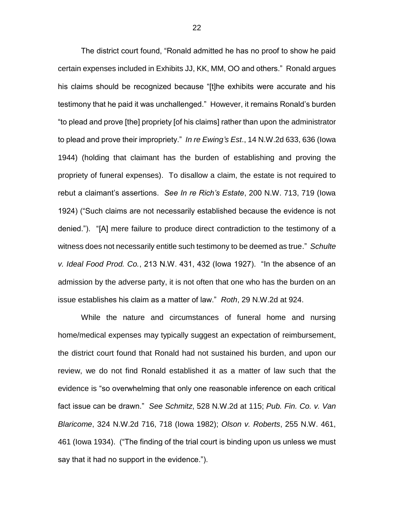The district court found, "Ronald admitted he has no proof to show he paid certain expenses included in Exhibits JJ, KK, MM, OO and others." Ronald argues his claims should be recognized because "[t]he exhibits were accurate and his testimony that he paid it was unchallenged." However, it remains Ronald's burden "to plead and prove [the] propriety [of his claims] rather than upon the administrator to plead and prove their impropriety." *In re Ewing's Est*., 14 N.W.2d 633, 636 (Iowa 1944) (holding that claimant has the burden of establishing and proving the propriety of funeral expenses). To disallow a claim, the estate is not required to rebut a claimant's assertions. *See In re Rich's Estate*, 200 N.W. 713, 719 (Iowa 1924) ("Such claims are not necessarily established because the evidence is not denied."). "[A] mere failure to produce direct contradiction to the testimony of a witness does not necessarily entitle such testimony to be deemed as true." *Schulte v. Ideal Food Prod. Co.*, 213 N.W. 431, 432 (Iowa 1927). "In the absence of an admission by the adverse party, it is not often that one who has the burden on an issue establishes his claim as a matter of law." *Roth*, 29 N.W.2d at 924.

While the nature and circumstances of funeral home and nursing home/medical expenses may typically suggest an expectation of reimbursement, the district court found that Ronald had not sustained his burden, and upon our review, we do not find Ronald established it as a matter of law such that the evidence is "so overwhelming that only one reasonable inference on each critical fact issue can be drawn." *See Schmitz*, 528 N.W.2d at 115; *Pub. Fin. Co. v. Van Blaricome*, 324 N.W.2d 716, 718 (Iowa 1982); *Olson v. Roberts*, 255 N.W. 461, 461 (Iowa 1934). ("The finding of the trial court is binding upon us unless we must say that it had no support in the evidence.").